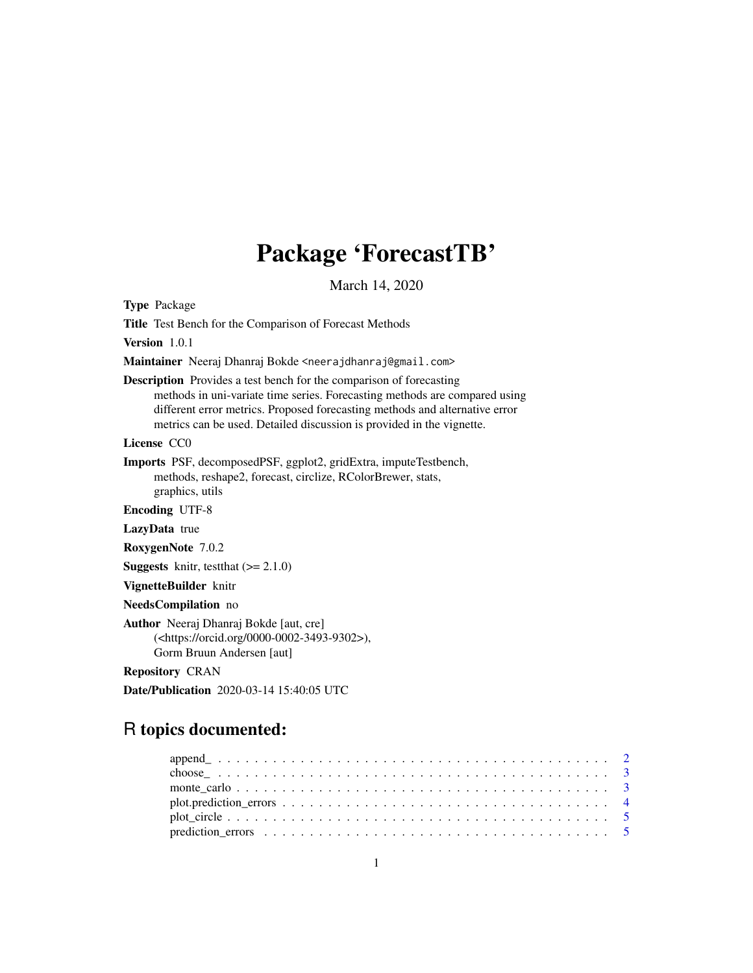# Package 'ForecastTB'

March 14, 2020

Type Package

Title Test Bench for the Comparison of Forecast Methods

Version 1.0.1

Maintainer Neeraj Dhanraj Bokde <neerajdhanraj@gmail.com>

Description Provides a test bench for the comparison of forecasting methods in uni-variate time series. Forecasting methods are compared using different error metrics. Proposed forecasting methods and alternative error metrics can be used. Detailed discussion is provided in the vignette.

License CC0

Imports PSF, decomposedPSF, ggplot2, gridExtra, imputeTestbench, methods, reshape2, forecast, circlize, RColorBrewer, stats, graphics, utils

Encoding UTF-8

LazyData true

RoxygenNote 7.0.2

**Suggests** knitr, testthat  $(>= 2.1.0)$ 

VignetteBuilder knitr

NeedsCompilation no

Author Neeraj Dhanraj Bokde [aut, cre] (<https://orcid.org/0000-0002-3493-9302>), Gorm Bruun Andersen [aut]

Repository CRAN

Date/Publication 2020-03-14 15:40:05 UTC

# R topics documented: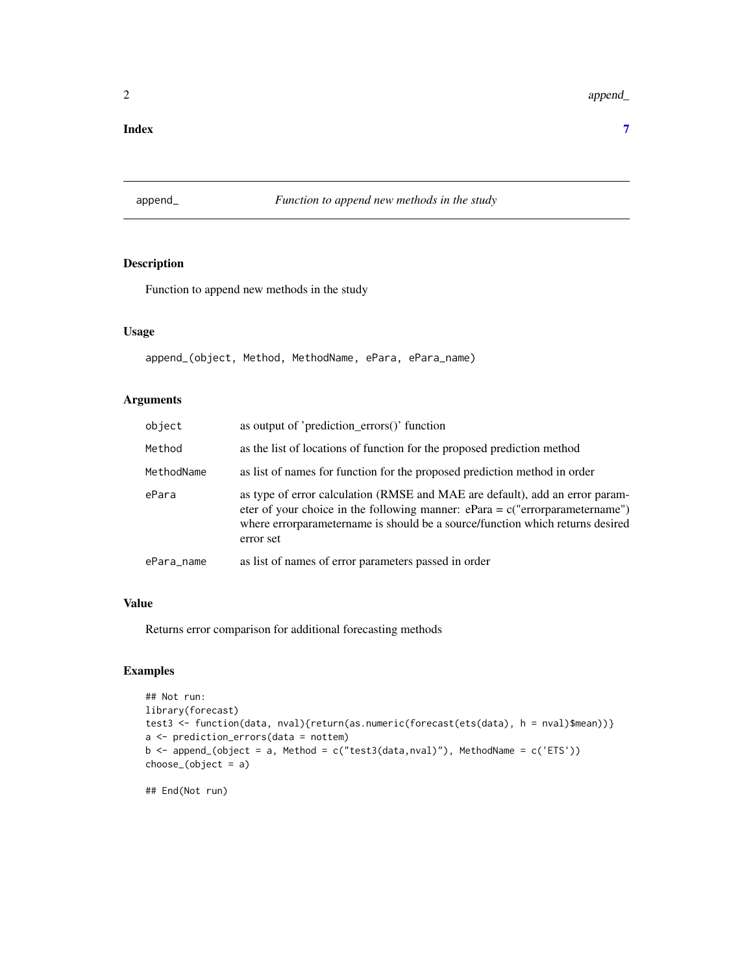#### <span id="page-1-0"></span>**Index** [7](#page-6-0) **7**

#### append\_ *Function to append new methods in the study*

#### Description

Function to append new methods in the study

#### Usage

append\_(object, Method, MethodName, ePara, ePara\_name)

#### Arguments

| object     | as output of 'prediction_errors()' function                                                                                                                                                                                                                  |
|------------|--------------------------------------------------------------------------------------------------------------------------------------------------------------------------------------------------------------------------------------------------------------|
| Method     | as the list of locations of function for the proposed prediction method                                                                                                                                                                                      |
| MethodName | as list of names for function for the proposed prediction method in order                                                                                                                                                                                    |
| ePara      | as type of error calculation (RMSE and MAE are default), add an error param-<br>eter of your choice in the following manner: $ePara = c("errorparametername")$<br>where errorparametername is should be a source/function which returns desired<br>error set |
| ePara_name | as list of names of error parameters passed in order                                                                                                                                                                                                         |

#### Value

Returns error comparison for additional forecasting methods

#### Examples

```
## Not run:
library(forecast)
test3 <- function(data, nval){return(as.numeric(forecast(ets(data), h = nval)$mean))}
a <- prediction_errors(data = nottem)
b \le append_(object = a, Method = c("test3(data, nval)"), MethodName = c('ETS'))
choose_(object = a)
```
## End(Not run)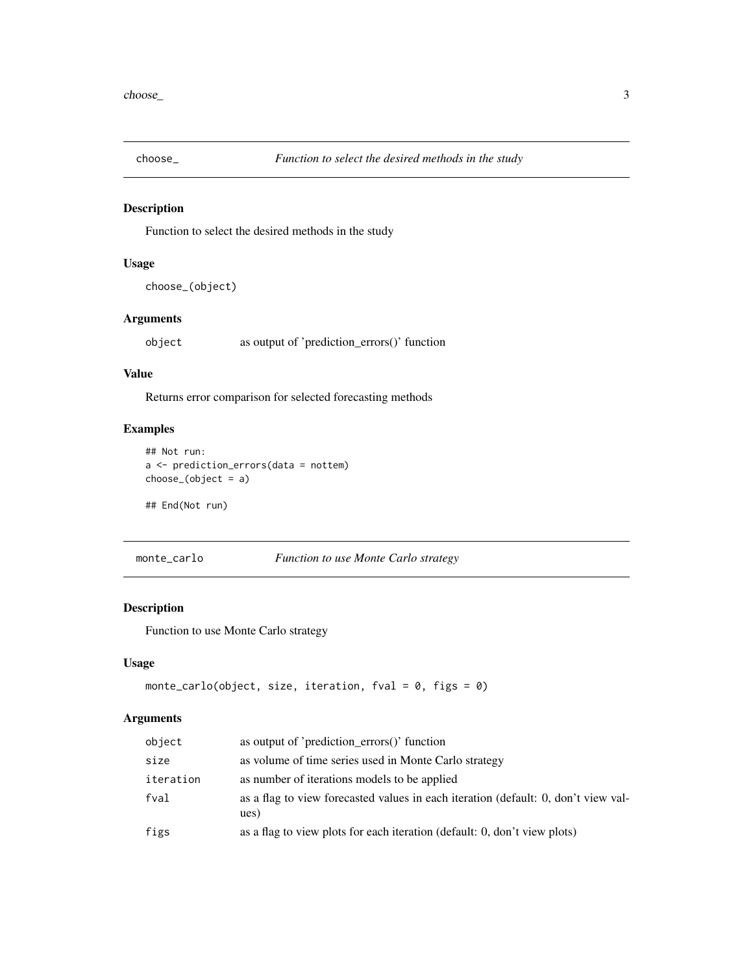<span id="page-2-0"></span>

#### Description

Function to select the desired methods in the study

#### Usage

```
choose_(object)
```
#### Arguments

object as output of 'prediction\_errors()' function

#### Value

Returns error comparison for selected forecasting methods

#### Examples

```
## Not run:
a <- prediction_errors(data = nottem)
choose_(object = a)
```
## End(Not run)

```
monte_carlo Function to use Monte Carlo strategy
```
## Description

Function to use Monte Carlo strategy

#### Usage

```
monte_carlo(object, size, iteration, fval = 0, figs = 0)
```
#### Arguments

| object    | as output of 'prediction_errors()' function                                                |
|-----------|--------------------------------------------------------------------------------------------|
| size      | as volume of time series used in Monte Carlo strategy                                      |
| iteration | as number of iterations models to be applied                                               |
| fval      | as a flag to view forecasted values in each iteration (default: 0, don't view val-<br>ues) |
| figs      | as a flag to view plots for each iteration (default: 0, don't view plots)                  |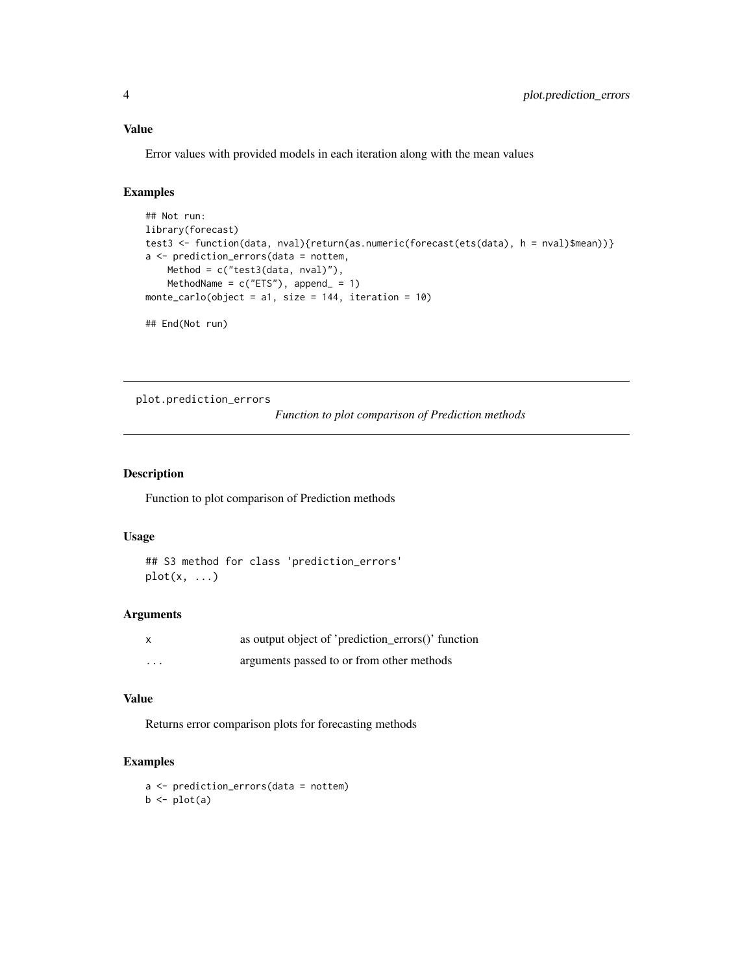#### <span id="page-3-0"></span>Value

Error values with provided models in each iteration along with the mean values

#### Examples

```
## Not run:
library(forecast)
test3 <- function(data, nval){return(as.numeric(forecast(ets(data), h = nval)$mean))}
a <- prediction_errors(data = nottem,
   Method = c("test3(data, nval)"),
   MethodName = c("ETS"), append = 1)
monte_carlo(object = a1, size = 144, iteration = 10)
```
## End(Not run)

plot.prediction\_errors

*Function to plot comparison of Prediction methods*

#### Description

Function to plot comparison of Prediction methods

#### Usage

## S3 method for class 'prediction\_errors'  $plot(x, \ldots)$ 

#### Arguments

| X        | as output object of 'prediction_errors()' function |
|----------|----------------------------------------------------|
| $\cdots$ | arguments passed to or from other methods          |

#### Value

Returns error comparison plots for forecasting methods

#### Examples

a <- prediction\_errors(data = nottem)  $b \leftarrow plot(a)$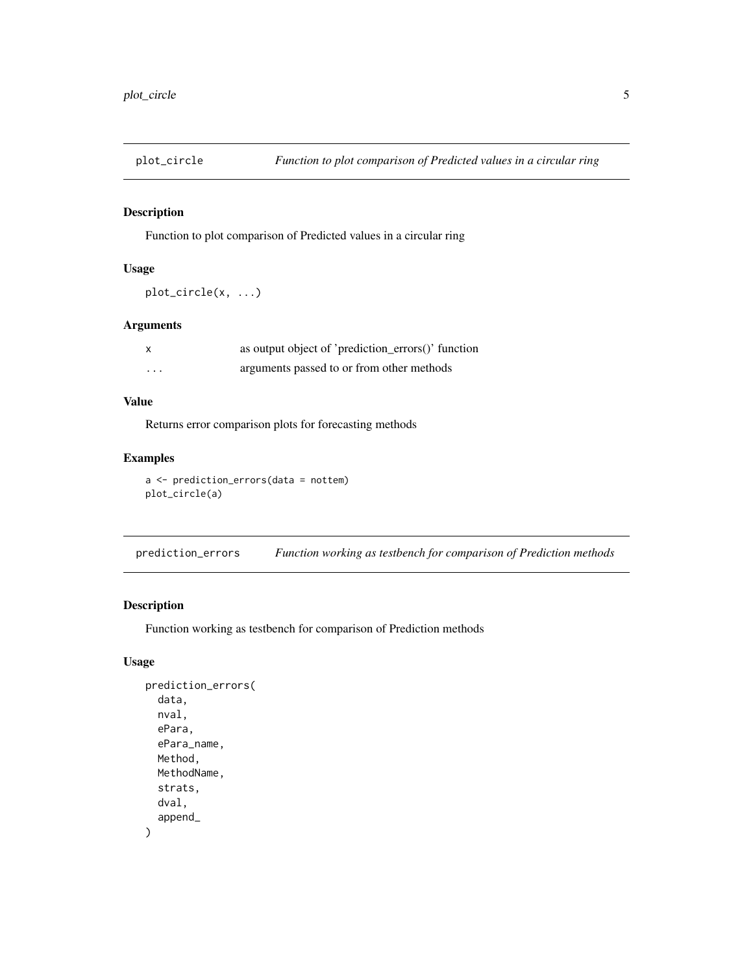<span id="page-4-0"></span>

#### Description

Function to plot comparison of Predicted values in a circular ring

#### Usage

```
plot_circle(x, ...)
```
#### Arguments

| $\boldsymbol{\mathsf{x}}$ | as output object of 'prediction_errors()' function |
|---------------------------|----------------------------------------------------|
| .                         | arguments passed to or from other methods          |

#### Value

Returns error comparison plots for forecasting methods

#### Examples

a <- prediction\_errors(data = nottem) plot\_circle(a)

prediction\_errors *Function working as testbench for comparison of Prediction methods*

#### Description

Function working as testbench for comparison of Prediction methods

#### Usage

```
prediction_errors(
  data,
  nval,
  ePara,
  ePara_name,
  Method,
  MethodName,
  strats,
  dval,
  append_
\mathcal{E}
```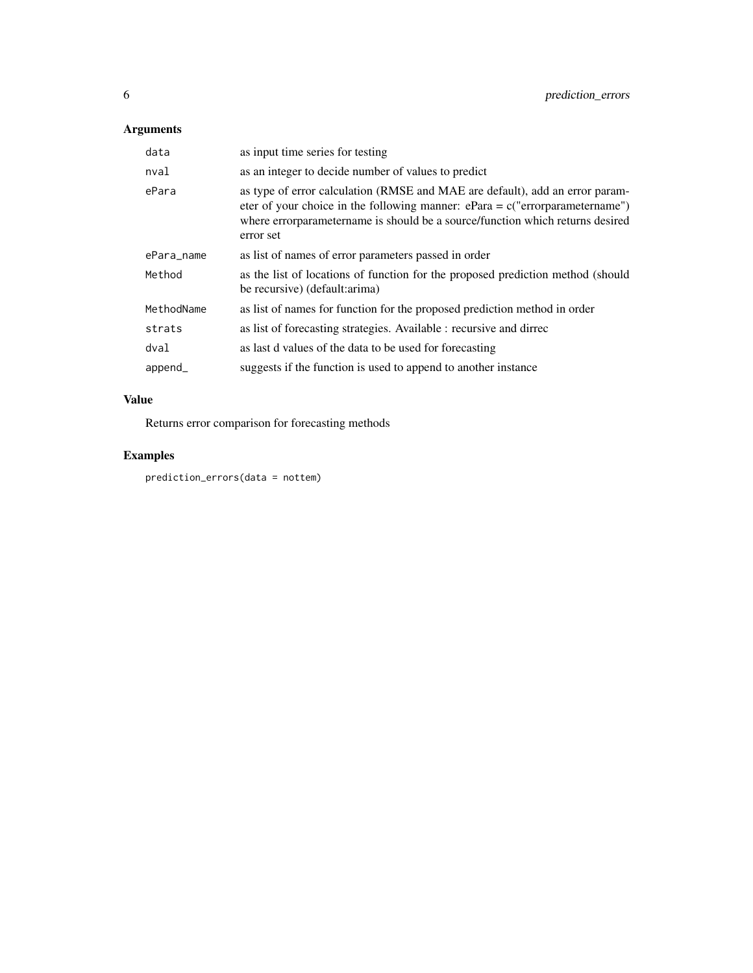# Arguments

| data       | as input time series for testing                                                                                                                                                                                                                             |
|------------|--------------------------------------------------------------------------------------------------------------------------------------------------------------------------------------------------------------------------------------------------------------|
| nval       | as an integer to decide number of values to predict                                                                                                                                                                                                          |
| ePara      | as type of error calculation (RMSE and MAE are default), add an error param-<br>eter of your choice in the following manner: $ePara = c("errorparametername")$<br>where errorparametername is should be a source/function which returns desired<br>error set |
| ePara_name | as list of names of error parameters passed in order                                                                                                                                                                                                         |
| Method     | as the list of locations of function for the proposed prediction method (should<br>be recursive) (default: arima)                                                                                                                                            |
| MethodName | as list of names for function for the proposed prediction method in order                                                                                                                                                                                    |
| strats     | as list of forecasting strategies. Available : recursive and dirrec                                                                                                                                                                                          |
| dval       | as last d values of the data to be used for forecasting                                                                                                                                                                                                      |
| append_    | suggests if the function is used to append to another instance                                                                                                                                                                                               |

# Value

Returns error comparison for forecasting methods

## Examples

prediction\_errors(data = nottem)